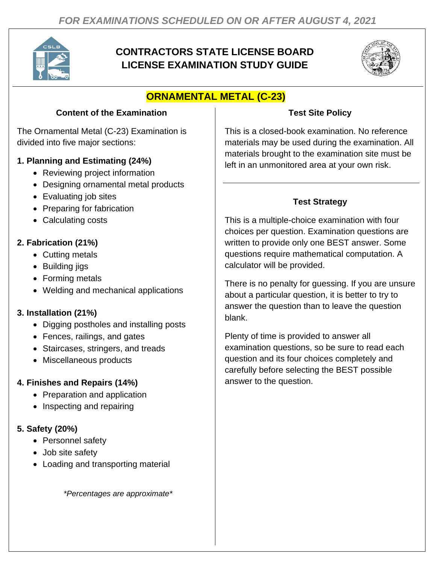

## **CONTRACTORS STATE LICENSE BOARD LICENSE EXAMINATION STUDY GUIDE**



# **ORNAMENTAL METAL (C-23)**

#### **Content of the Examination**

The Ornamental Metal (C-23) Examination is divided into five major sections:

#### **1. Planning and Estimating (24%)**

- Reviewing project information
- Designing ornamental metal products
- Evaluating job sites
- Preparing for fabrication
- Calculating costs

## **2. Fabrication (21%)**

- Cutting metals
- Building jigs
- Forming metals
- Welding and mechanical applications

### **3. Installation (21%)**

- Digging postholes and installing posts
- Fences, railings, and gates
- Staircases, stringers, and treads
- Miscellaneous products

### **4. Finishes and Repairs (14%)**

- Preparation and application
- Inspecting and repairing

### **5. Safety (20%)**

- Personnel safety
- Job site safety
- Loading and transporting material

*\*Percentages are approximate\**

### **Test Site Policy**

This is a closed-book examination. No reference materials may be used during the examination. All materials brought to the examination site must be left in an unmonitored area at your own risk.

### **Test Strategy**

This is a multiple-choice examination with four choices per question. Examination questions are written to provide only one BEST answer. Some questions require mathematical computation. A calculator will be provided.

There is no penalty for guessing. If you are unsure about a particular question, it is better to try to answer the question than to leave the question blank.

Plenty of time is provided to answer all examination questions, so be sure to read each question and its four choices completely and carefully before selecting the BEST possible answer to the question.